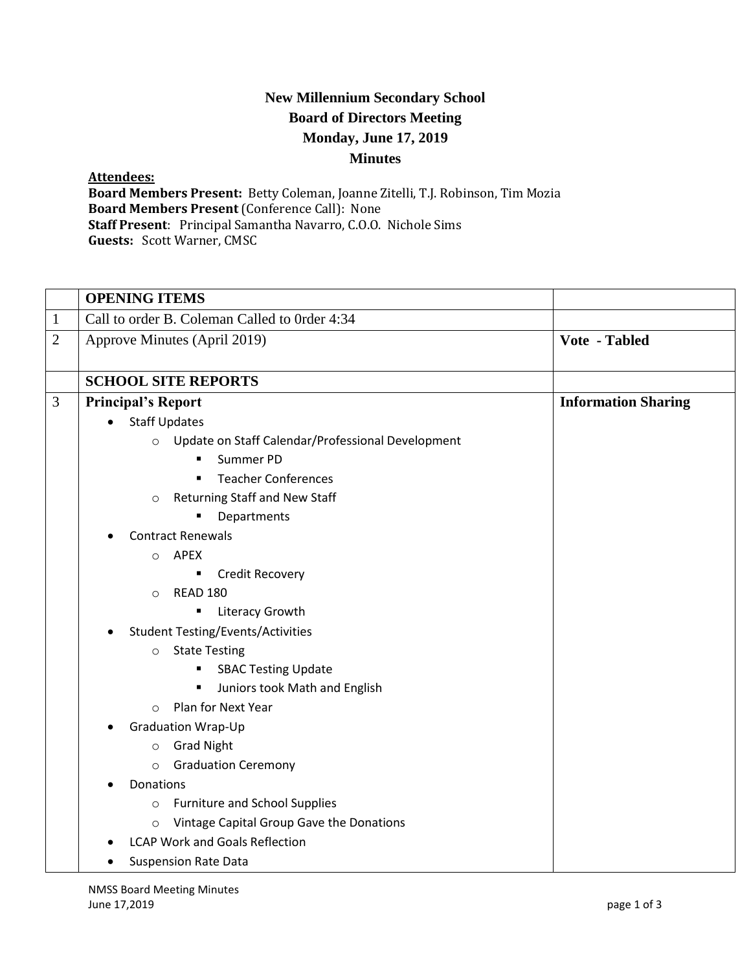## **New Millennium Secondary School Board of Directors Meeting Monday, June 17, 2019 Minutes**

## **Attendees:**

**Board Members Present:** Betty Coleman, Joanne Zitelli, T.J. Robinson, Tim Mozia **Board Members Present** (Conference Call): None **Staff Present**: Principal Samantha Navarro, C.O.O. Nichole Sims **Guests:** Scott Warner, CMSC

|                | <b>OPENING ITEMS</b>                                         |                            |
|----------------|--------------------------------------------------------------|----------------------------|
| $\mathbf{1}$   | Call to order B. Coleman Called to Order 4:34                |                            |
| $\overline{2}$ | Approve Minutes (April 2019)                                 | Vote - Tabled              |
|                | <b>SCHOOL SITE REPORTS</b>                                   |                            |
| 3              | <b>Principal's Report</b>                                    | <b>Information Sharing</b> |
|                | <b>Staff Updates</b>                                         |                            |
|                | Update on Staff Calendar/Professional Development<br>$\circ$ |                            |
|                | Summer PD<br>п                                               |                            |
|                | <b>Teacher Conferences</b><br>$\blacksquare$                 |                            |
|                | Returning Staff and New Staff<br>$\circ$                     |                            |
|                | Departments                                                  |                            |
|                | <b>Contract Renewals</b>                                     |                            |
|                | APEX<br>$\circ$                                              |                            |
|                | Credit Recovery                                              |                            |
|                | <b>READ 180</b><br>$\circ$                                   |                            |
|                | Literacy Growth                                              |                            |
|                | <b>Student Testing/Events/Activities</b>                     |                            |
|                | <b>State Testing</b><br>$\circ$                              |                            |
|                | <b>SBAC Testing Update</b>                                   |                            |
|                | Juniors took Math and English                                |                            |
|                | Plan for Next Year<br>$\circ$                                |                            |
|                | <b>Graduation Wrap-Up</b>                                    |                            |
|                | <b>Grad Night</b><br>$\circ$                                 |                            |
|                | <b>Graduation Ceremony</b><br>$\circ$                        |                            |
|                | Donations                                                    |                            |
|                | <b>Furniture and School Supplies</b><br>$\circ$              |                            |
|                | Vintage Capital Group Gave the Donations<br>$\circ$          |                            |
|                | <b>LCAP Work and Goals Reflection</b>                        |                            |
|                | <b>Suspension Rate Data</b>                                  |                            |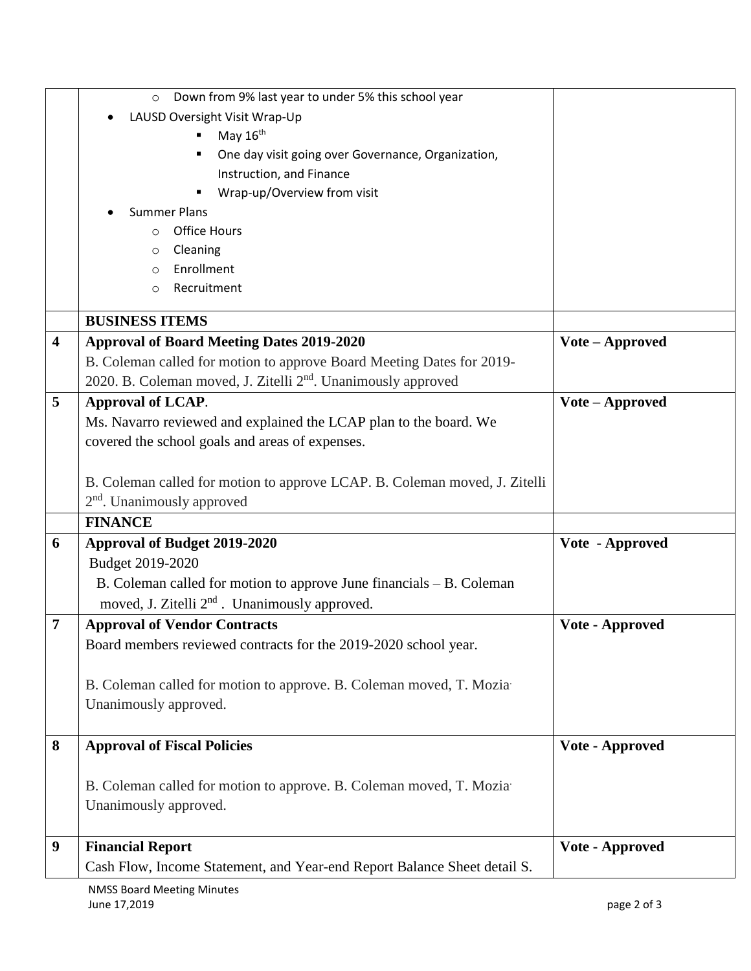|                         | Down from 9% last year to under 5% this school year<br>$\circ$             |                 |
|-------------------------|----------------------------------------------------------------------------|-----------------|
|                         | LAUSD Oversight Visit Wrap-Up                                              |                 |
|                         | May 16 <sup>th</sup>                                                       |                 |
|                         | One day visit going over Governance, Organization,                         |                 |
|                         | Instruction, and Finance                                                   |                 |
|                         | Wrap-up/Overview from visit                                                |                 |
|                         | <b>Summer Plans</b>                                                        |                 |
|                         | <b>Office Hours</b><br>$\circ$                                             |                 |
|                         | Cleaning<br>O                                                              |                 |
|                         | Enrollment<br>$\circ$                                                      |                 |
|                         | Recruitment<br>$\circ$                                                     |                 |
|                         | <b>BUSINESS ITEMS</b>                                                      |                 |
| $\overline{\mathbf{4}}$ | <b>Approval of Board Meeting Dates 2019-2020</b>                           | Vote – Approved |
|                         | B. Coleman called for motion to approve Board Meeting Dates for 2019-      |                 |
|                         | 2020. B. Coleman moved, J. Zitelli 2 <sup>nd</sup> . Unanimously approved  |                 |
| 5                       | <b>Approval of LCAP.</b>                                                   | Vote - Approved |
|                         | Ms. Navarro reviewed and explained the LCAP plan to the board. We          |                 |
|                         | covered the school goals and areas of expenses.                            |                 |
|                         |                                                                            |                 |
|                         | B. Coleman called for motion to approve LCAP. B. Coleman moved, J. Zitelli |                 |
|                         | 2 <sup>nd</sup> . Unanimously approved                                     |                 |
|                         | <b>FINANCE</b>                                                             |                 |
| 6                       | <b>Approval of Budget 2019-2020</b>                                        | Vote - Approved |
|                         | Budget 2019-2020                                                           |                 |
|                         | B. Coleman called for motion to approve June financials – B. Coleman       |                 |
|                         | moved, J. Zitelli 2 <sup>nd</sup> . Unanimously approved.                  |                 |
| 7                       | <b>Approval of Vendor Contracts</b>                                        | Vote - Approved |
|                         | Board members reviewed contracts for the 2019-2020 school year.            |                 |
|                         |                                                                            |                 |
|                         | B. Coleman called for motion to approve. B. Coleman moved, T. Mozia        |                 |
|                         | Unanimously approved.                                                      |                 |
|                         |                                                                            |                 |
| 8                       | <b>Approval of Fiscal Policies</b>                                         | Vote - Approved |
|                         |                                                                            |                 |
|                         | B. Coleman called for motion to approve. B. Coleman moved, T. Mozia        |                 |
|                         | Unanimously approved.                                                      |                 |
|                         |                                                                            |                 |
| 9                       | <b>Financial Report</b>                                                    | Vote - Approved |
|                         | Cash Flow, Income Statement, and Year-end Report Balance Sheet detail S.   |                 |
|                         |                                                                            |                 |